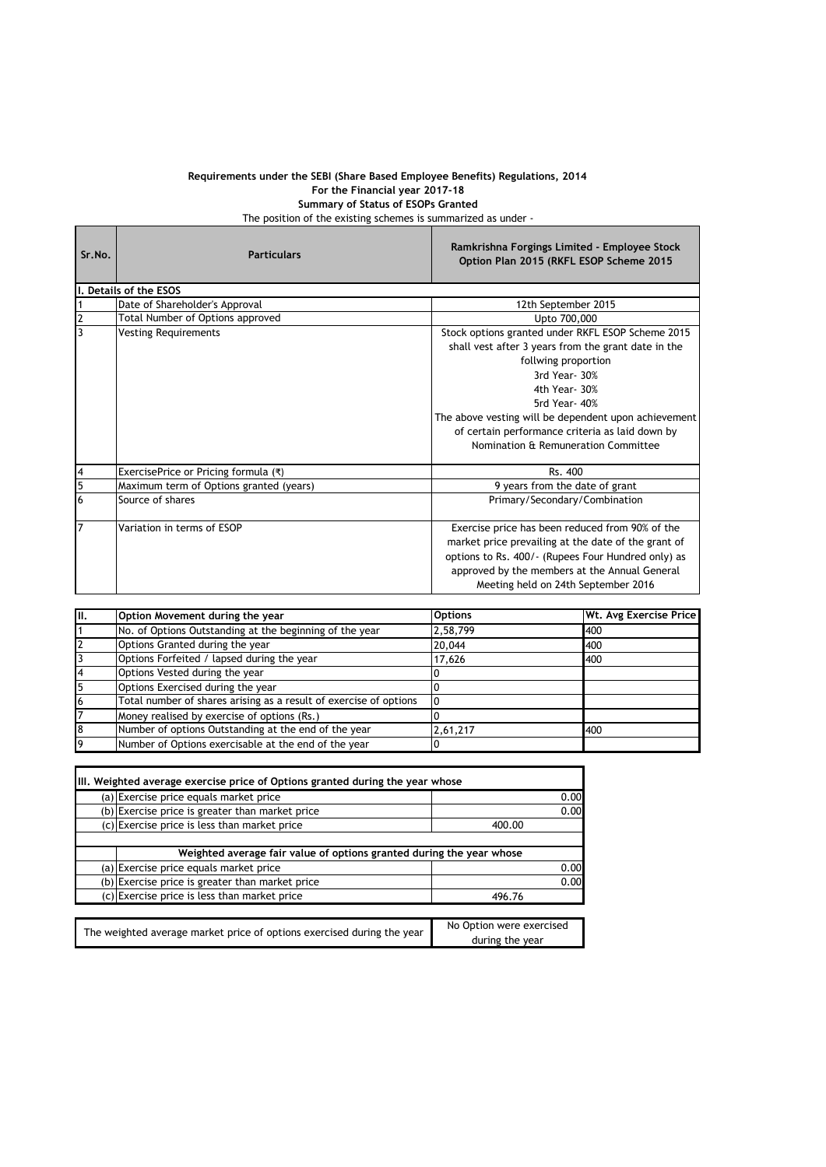## **Requirements under the SEBI (Share Based Employee Benefits) Regulations, 2014 For the Financial year 2017-18 Summary of Status of ESOPs Granted**

The position of the existing schemes is summarized as under -

and the

Ē

| Sr.No.         | <b>Particulars</b>                      | Ramkrishna Forgings Limited - Employee Stock<br>Option Plan 2015 (RKFL ESOP Scheme 2015                                                                                                                                                                                                                                              |  |  |
|----------------|-----------------------------------------|--------------------------------------------------------------------------------------------------------------------------------------------------------------------------------------------------------------------------------------------------------------------------------------------------------------------------------------|--|--|
|                | I. Details of the ESOS                  |                                                                                                                                                                                                                                                                                                                                      |  |  |
| 1              | Date of Shareholder's Approval          | 12th September 2015                                                                                                                                                                                                                                                                                                                  |  |  |
| $\mathbf 2$    | Total Number of Options approved        | Upto 700,000                                                                                                                                                                                                                                                                                                                         |  |  |
| 3              | <b>Vesting Requirements</b>             | Stock options granted under RKFL ESOP Scheme 2015<br>shall vest after 3 years from the grant date in the<br>follwing proportion<br>3rd Year- 30%<br>4th Year- 30%<br>5rd Year- 40%<br>The above vesting will be dependent upon achievement<br>of certain performance criteria as laid down by<br>Nomination & Remuneration Committee |  |  |
| 4              | ExercisePrice or Pricing formula (₹)    | Rs. 400                                                                                                                                                                                                                                                                                                                              |  |  |
| $\overline{5}$ | Maximum term of Options granted (years) | 9 years from the date of grant                                                                                                                                                                                                                                                                                                       |  |  |
| 6              | Source of shares                        | Primary/Secondary/Combination                                                                                                                                                                                                                                                                                                        |  |  |
| $\overline{7}$ | Variation in terms of ESOP              | Exercise price has been reduced from 90% of the<br>market price prevailing at the date of the grant of<br>options to Rs. 400/- (Rupees Four Hundred only) as<br>approved by the members at the Annual General<br>Meeting held on 24th September 2016                                                                                 |  |  |

| π. | Option Movement during the year                                   | <b>Options</b> | Wt. Avg Exercise Price |
|----|-------------------------------------------------------------------|----------------|------------------------|
|    | No. of Options Outstanding at the beginning of the year           | 2,58,799       | 400                    |
|    | Options Granted during the year                                   | 20,044         | 400                    |
|    | Options Forfeited / lapsed during the year                        | 17,626         | 400                    |
| 4  | Options Vested during the year                                    |                |                        |
| 5  | Options Exercised during the year                                 |                |                        |
| 6  | Total number of shares arising as a result of exercise of options |                |                        |
|    | Money realised by exercise of options (Rs.)                       |                |                        |
| 8  | Number of options Outstanding at the end of the year              | 2,61,217       | 400                    |
| 9  | Number of Options exercisable at the end of the year              |                |                        |

| III. Weighted average exercise price of Options granted during the year whose |                                             |  |
|-------------------------------------------------------------------------------|---------------------------------------------|--|
| (a) Exercise price equals market price                                        | 0.00                                        |  |
| (b) Exercise price is greater than market price                               | 0.00                                        |  |
| (c) Exercise price is less than market price                                  | 400.00                                      |  |
|                                                                               |                                             |  |
| Weighted average fair value of options granted during the year whose          |                                             |  |
| (a) Exercise price equals market price                                        | 0.00                                        |  |
| (b) Exercise price is greater than market price                               | 0.00                                        |  |
| (c) Exercise price is less than market price                                  | 496.76                                      |  |
|                                                                               |                                             |  |
| The weighted average market price of options exercised during the year        | No Option were exercised<br>during the year |  |